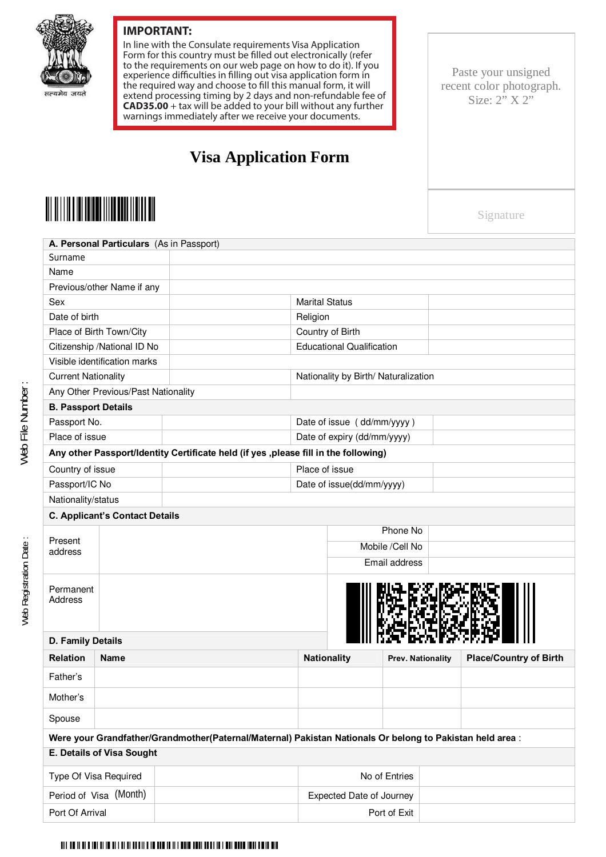

## **IMPORTANT:**

In line with the Consulate requirements Visa Application Form for this country must be filled out electronically (refer to the requirements on our web page on how to do it). If you experience difficulties in filling out visa application form in the required way and choose to fill this manual form, it will extend processing timing by 2 days and non-refundable fee of **CAD35.00** + tax will be added to your bill without any further warnings immediately after we receive your documents.

Ξ

## **Visa Application Form**

Paste your unsigned recent color photograph. Size:  $2\overline{''}$  X  $2\overline{''}$ 

Signature

| A. Personal Particulars (As in Passport)                                                                  |                |               |                                      |                           |                   |  |                               |  |  |  |
|-----------------------------------------------------------------------------------------------------------|----------------|---------------|--------------------------------------|---------------------------|-------------------|--|-------------------------------|--|--|--|
| Surname                                                                                                   |                |               |                                      |                           |                   |  |                               |  |  |  |
| Name                                                                                                      |                |               |                                      |                           |                   |  |                               |  |  |  |
| Previous/other Name if any                                                                                |                |               |                                      |                           |                   |  |                               |  |  |  |
| Sex                                                                                                       |                |               | <b>Marital Status</b>                |                           |                   |  |                               |  |  |  |
| Date of birth                                                                                             |                |               | Religion                             |                           |                   |  |                               |  |  |  |
| Place of Birth Town/City                                                                                  |                |               | Country of Birth                     |                           |                   |  |                               |  |  |  |
| Citizenship / National ID No                                                                              |                |               | <b>Educational Qualification</b>     |                           |                   |  |                               |  |  |  |
| Visible identification marks                                                                              |                |               |                                      |                           |                   |  |                               |  |  |  |
| <b>Current Nationality</b>                                                                                |                |               | Nationality by Birth/ Naturalization |                           |                   |  |                               |  |  |  |
| Any Other Previous/Past Nationality                                                                       |                |               |                                      |                           |                   |  |                               |  |  |  |
| <b>B. Passport Details</b>                                                                                |                |               |                                      |                           |                   |  |                               |  |  |  |
| Passport No.                                                                                              |                |               | Date of issue (dd/mm/yyyy)           |                           |                   |  |                               |  |  |  |
| Place of issue                                                                                            |                |               | Date of expiry (dd/mm/yyyy)          |                           |                   |  |                               |  |  |  |
| Any other Passport/Identity Certificate held (if yes , please fill in the following)                      |                |               |                                      |                           |                   |  |                               |  |  |  |
| Country of issue                                                                                          |                |               |                                      | Place of issue            |                   |  |                               |  |  |  |
|                                                                                                           | Passport/IC No |               |                                      | Date of issue(dd/mm/yyyy) |                   |  |                               |  |  |  |
| Nationality/status                                                                                        |                |               |                                      |                           |                   |  |                               |  |  |  |
| <b>C. Applicant's Contact Details</b>                                                                     |                |               |                                      |                           |                   |  |                               |  |  |  |
| Present                                                                                                   |                |               |                                      | Phone No                  |                   |  |                               |  |  |  |
| address                                                                                                   |                |               |                                      | Mobile /Cell No           |                   |  |                               |  |  |  |
|                                                                                                           |                | Email address |                                      |                           |                   |  |                               |  |  |  |
| Permanent<br>Address                                                                                      |                |               |                                      |                           |                   |  |                               |  |  |  |
| D. Family Details                                                                                         |                |               |                                      |                           |                   |  |                               |  |  |  |
| <b>Relation</b>                                                                                           | Name           |               |                                      | <b>Nationality</b>        | Prev. Nationality |  | <b>Place/Country of Birth</b> |  |  |  |
| Father's                                                                                                  |                |               |                                      |                           |                   |  |                               |  |  |  |
| Mother's                                                                                                  |                |               |                                      |                           |                   |  |                               |  |  |  |
| Spouse                                                                                                    |                |               |                                      |                           |                   |  |                               |  |  |  |
| Were your Grandfather/Grandmother(Paternal/Maternal) Pakistan Nationals Or belong to Pakistan held area : |                |               |                                      |                           |                   |  |                               |  |  |  |
| E. Details of Visa Sought                                                                                 |                |               |                                      |                           |                   |  |                               |  |  |  |
| Type Of Visa Required                                                                                     |                |               | No of Entries                        |                           |                   |  |                               |  |  |  |
| Period of Visa (Month)                                                                                    |                |               | <b>Expected Date of Journey</b>      |                           |                   |  |                               |  |  |  |
| Port Of Arrival                                                                                           |                |               |                                      | Port of Exit              |                   |  |                               |  |  |  |

##